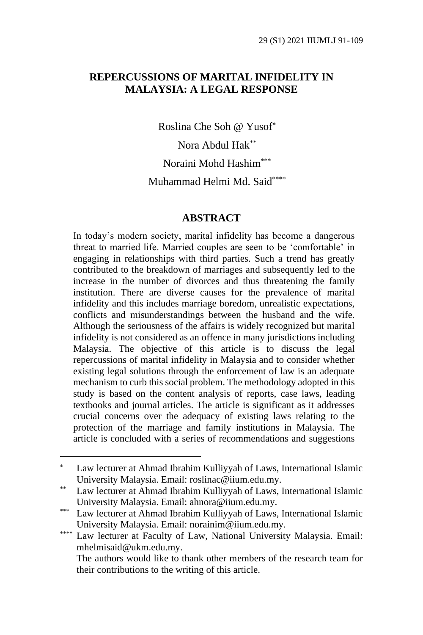### **REPERCUSSIONS OF MARITAL INFIDELITY IN MALAYSIA: A LEGAL RESPONSE**

Roslina Che Soh @ Yusof

Nora Abdul Hak\*\*

Noraini Mohd Hashim\*\*\*

Muhammad Helmi Md. Said\*\*\*\*

#### **ABSTRACT**

In today's modern society, marital infidelity has become a dangerous threat to married life. Married couples are seen to be 'comfortable' in engaging in relationships with third parties. Such a trend has greatly contributed to the breakdown of marriages and subsequently led to the increase in the number of divorces and thus threatening the family institution. There are diverse causes for the prevalence of marital infidelity and this includes marriage boredom, unrealistic expectations, conflicts and misunderstandings between the husband and the wife. Although the seriousness of the affairs is widely recognized but marital infidelity is not considered as an offence in many jurisdictions including Malaysia. The objective of this article is to discuss the legal repercussions of marital infidelity in Malaysia and to consider whether existing legal solutions through the enforcement of law is an adequate mechanism to curb this social problem. The methodology adopted in this study is based on the content analysis of reports, case laws, leading textbooks and journal articles. The article is significant as it addresses crucial concerns over the adequacy of existing laws relating to the protection of the marriage and family institutions in Malaysia. The article is concluded with a series of recommendations and suggestions

Law lecturer at Ahmad Ibrahim Kulliyyah of Laws, International Islamic University Malaysia. Email: roslinac@iium.edu.my.

Law lecturer at Ahmad Ibrahim Kulliyyah of Laws, International Islamic University Malaysia. Email: ahnora@iium.edu.my.

<sup>\*\*\*</sup> Law lecturer at Ahmad Ibrahim Kulliyyah of Laws, International Islamic University Malaysia. Email: norainim@iium.edu.my.

<sup>\*\*\*\*</sup> Law lecturer at Faculty of Law, National University Malaysia. Email: mhelmisaid@ukm.edu.my.

The authors would like to thank other members of the research team for their contributions to the writing of this article.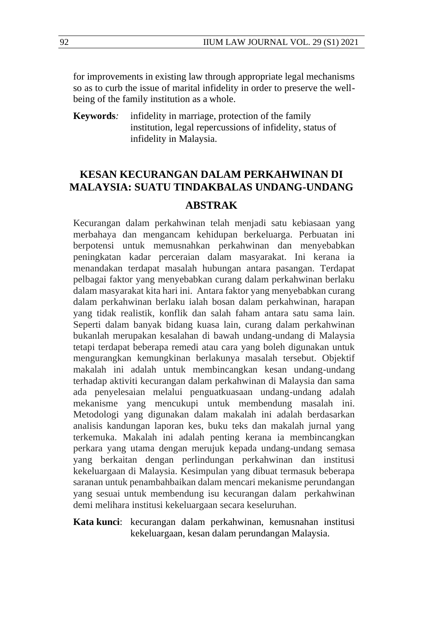for improvements in existing law through appropriate legal mechanisms so as to curb the issue of marital infidelity in order to preserve the wellbeing of the family institution as a whole.

**Keywords***:* infidelity in marriage, protection of the family institution, legal repercussions of infidelity, status of infidelity in Malaysia.

# **KESAN KECURANGAN DALAM PERKAHWINAN DI MALAYSIA: SUATU TINDAKBALAS UNDANG-UNDANG**

#### **ABSTRAK**

Kecurangan dalam perkahwinan telah menjadi satu kebiasaan yang merbahaya dan mengancam kehidupan berkeluarga. Perbuatan ini berpotensi untuk memusnahkan perkahwinan dan menyebabkan peningkatan kadar perceraian dalam masyarakat. Ini kerana ia menandakan terdapat masalah hubungan antara pasangan. Terdapat pelbagai faktor yang menyebabkan curang dalam perkahwinan berlaku dalam masyarakat kita hari ini. Antara faktor yang menyebabkan curang dalam perkahwinan berlaku ialah bosan dalam perkahwinan, harapan yang tidak realistik, konflik dan salah faham antara satu sama lain. Seperti dalam banyak bidang kuasa lain, curang dalam perkahwinan bukanlah merupakan kesalahan di bawah undang-undang di Malaysia tetapi terdapat beberapa remedi atau cara yang boleh digunakan untuk mengurangkan kemungkinan berlakunya masalah tersebut. Objektif makalah ini adalah untuk membincangkan kesan undang-undang terhadap aktiviti kecurangan dalam perkahwinan di Malaysia dan sama ada penyelesaian melalui penguatkuasaan undang-undang adalah mekanisme yang mencukupi untuk membendung masalah ini. Metodologi yang digunakan dalam makalah ini adalah berdasarkan analisis kandungan laporan kes, buku teks dan makalah jurnal yang terkemuka. Makalah ini adalah penting kerana ia membincangkan perkara yang utama dengan merujuk kepada undang-undang semasa yang berkaitan dengan perlindungan perkahwinan dan institusi kekeluargaan di Malaysia. Kesimpulan yang dibuat termasuk beberapa saranan untuk penambahbaikan dalam mencari mekanisme perundangan yang sesuai untuk membendung isu kecurangan dalam perkahwinan demi melihara institusi kekeluargaan secara keseluruhan.

**Kata kunci**: kecurangan dalam perkahwinan, kemusnahan institusi kekeluargaan, kesan dalam perundangan Malaysia.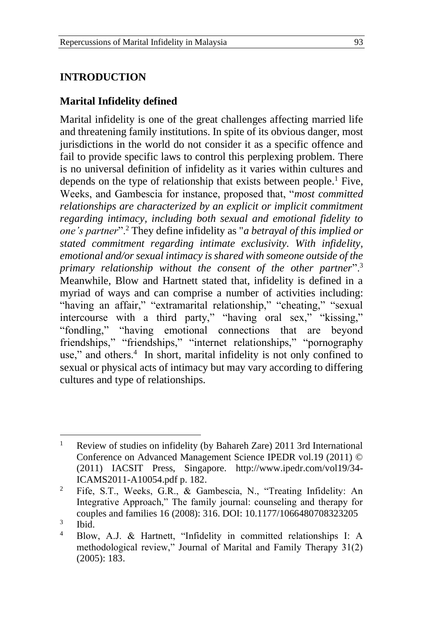### **INTRODUCTION**

### **Marital Infidelity defined**

Marital infidelity is one of the great challenges affecting married life and threatening family institutions. In spite of its obvious danger, most jurisdictions in the world do not consider it as a specific offence and fail to provide specific laws to control this perplexing problem. There is no universal definition of infidelity as it varies within cultures and depends on the type of relationship that exists between people.<sup>1</sup> Five, Weeks, and Gambescia for instance, proposed that, "*most committed relationships are characterized by an explicit or implicit commitment regarding intimacy, including both sexual and emotional fidelity to one's partner*".<sup>2</sup> They define infidelity as "*a betrayal of this implied or stated commitment regarding intimate exclusivity. With infidelity, emotional and/or sexual intimacy is shared with someone outside of the primary relationship without the consent of the other partner*".<sup>3</sup> Meanwhile, Blow and Hartnett stated that, infidelity is defined in a myriad of ways and can comprise a number of activities including: "having an affair," "extramarital relationship," "cheating," "sexual intercourse with a third party," "having oral sex," "kissing," "fondling," "having emotional connections that are beyond friendships," "friendships," "internet relationships," "pornography use," and others.<sup>4</sup> In short, marital infidelity is not only confined to sexual or physical acts of intimacy but may vary according to differing cultures and type of relationships.

<sup>&</sup>lt;sup>1</sup> Review of studies on infidelity (by Bahareh Zare) 2011 3rd International Conference on Advanced Management Science IPEDR vol.19 (2011) © (2011) IACSIT Press, Singapore. http://www.ipedr.com/vol19/34- ICAMS2011-A10054.pdf p. 182.

<sup>&</sup>lt;sup>2</sup> Fife, S.T., Weeks, G.R., & Gambescia, N., "Treating Infidelity: An Integrative Approach," The family journal: counseling and therapy for couples and families 16 (2008): 316. DOI: 10.1177/1066480708323205 3

Ibid.

<sup>4</sup> Blow, A.J. & Hartnett, "Infidelity in committed relationships I: A methodological review," Journal of Marital and Family Therapy 31(2) (2005): 183.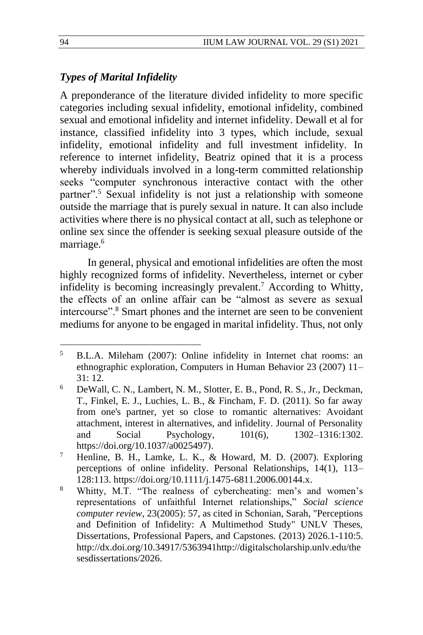## *Types of Marital Infidelity*

A preponderance of the literature divided infidelity to more specific categories including sexual infidelity, emotional infidelity, combined sexual and emotional infidelity and internet infidelity. Dewall et al for instance, classified infidelity into 3 types, which include, sexual infidelity, emotional infidelity and full investment infidelity. In reference to internet infidelity, Beatriz opined that it is a process whereby individuals involved in a long-term committed relationship seeks "computer synchronous interactive contact with the other partner".<sup>5</sup> Sexual infidelity is not just a relationship with someone outside the marriage that is purely sexual in nature. It can also include activities where there is no physical contact at all, such as telephone or online sex since the offender is seeking sexual pleasure outside of the marriage.<sup>6</sup>

In general, physical and emotional infidelities are often the most highly recognized forms of infidelity. Nevertheless, internet or cyber infidelity is becoming increasingly prevalent.<sup>7</sup> According to Whitty, the effects of an online affair can be "almost as severe as sexual intercourse".<sup>8</sup> Smart phones and the internet are seen to be convenient mediums for anyone to be engaged in marital infidelity. Thus, not only

<sup>5</sup> B.L.A. Mileham (2007): Online infidelity in Internet chat rooms: an ethnographic exploration, Computers in Human Behavior 23 (2007) 11– 31: 12.

<sup>6</sup> DeWall, C. N., Lambert, N. M., Slotter, E. B., Pond, R. S., Jr., Deckman, T., Finkel, E. J., Luchies, L. B., & Fincham, F. D. (2011). So far away from one's partner, yet so close to romantic alternatives: Avoidant attachment, interest in alternatives, and infidelity. Journal of Personality and Social Psychology, 101(6), 1302–1316:1302. https://doi.org/10.1037/a0025497).

<sup>7</sup> Henline, B. H., Lamke, L. K., & Howard, M. D. (2007). Exploring perceptions of online infidelity. Personal Relationships, 14(1), 113– 128:113. https://doi.org/10.1111/j.1475-6811.2006.00144.x.

<sup>8</sup> Whitty, M.T. "The realness of cybercheating: men's and women's representations of unfaithful Internet relationships," *Social science computer review,* 23(2005): 57, as cited in Schonian, Sarah, "Perceptions and Definition of Infidelity: A Multimethod Study" UNLV Theses, Dissertations, Professional Papers, and Capstones. (2013) 2026.1-110:5. http://dx.doi.org/10.34917/5363941http://digitalscholarship.unlv.edu/the sesdissertations/2026.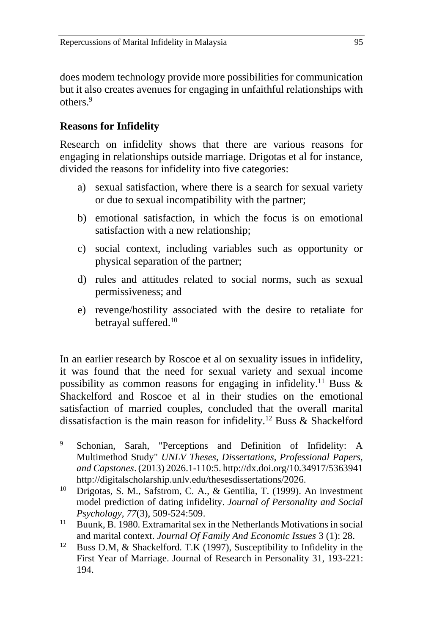does modern technology provide more possibilities for communication but it also creates avenues for engaging in unfaithful relationships with others<sup>9</sup>

## **Reasons for Infidelity**

Research on infidelity shows that there are various reasons for engaging in relationships outside marriage. Drigotas et al for instance, divided the reasons for infidelity into five categories:

- a) sexual satisfaction, where there is a search for sexual variety or due to sexual incompatibility with the partner;
- b) emotional satisfaction, in which the focus is on emotional satisfaction with a new relationship;
- c) social context, including variables such as opportunity or physical separation of the partner;
- d) rules and attitudes related to social norms, such as sexual permissiveness; and
- e) revenge/hostility associated with the desire to retaliate for betrayal suffered.<sup>10</sup>

In an earlier research by Roscoe et al on sexuality issues in infidelity, it was found that the need for sexual variety and sexual income possibility as common reasons for engaging in infidelity.<sup>11</sup> Buss & Shackelford and Roscoe et al in their studies on the emotional satisfaction of married couples, concluded that the overall marital dissatisfaction is the main reason for infidelity.<sup>12</sup> Buss  $\&$  Shackelford

<sup>9</sup> Schonian, Sarah, "Perceptions and Definition of Infidelity: A Multimethod Study" *UNLV Theses, Dissertations, Professional Papers, and Capstones*. (2013) 2026.1-110:5. http://dx.doi.org/10.34917/5363941 http://digitalscholarship.unlv.edu/thesesdissertations/2026.

<sup>10</sup> Drigotas, S. M., Safstrom, C. A., & Gentilia, T. (1999). An investment model prediction of dating infidelity. *Journal of Personality and Social Psychology, 77*(3), 509-524:509.

<sup>&</sup>lt;sup>11</sup> Buunk, B. 1980. Extramarital sex in the Netherlands Motivations in social and marital context. *Journal Of Family And Economic Issues* 3 (1): 28.

<sup>&</sup>lt;sup>12</sup> Buss D.M, & Shackelford. T.K (1997), Susceptibility to Infidelity in the First Year of Marriage. Journal of Research in Personality 31, 193-221: 194.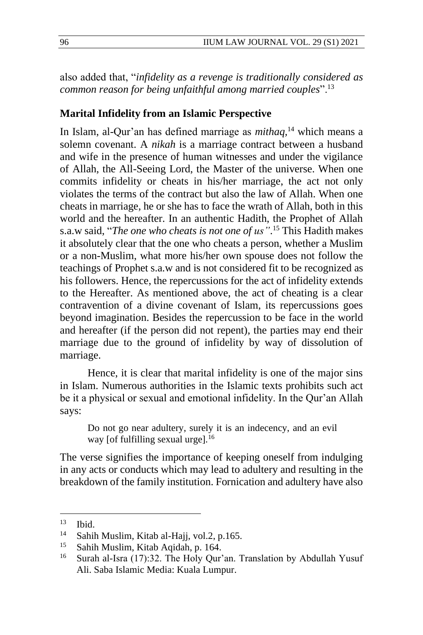also added that, "*infidelity as a revenge is traditionally considered as common reason for being unfaithful among married couples*".<sup>13</sup>

#### **Marital Infidelity from an Islamic Perspective**

In Islam, al-Qur'an has defined marriage as *mithaq,*<sup>14</sup> which means a solemn covenant. A *nikah* is a marriage contract between a husband and wife in the presence of human witnesses and under the vigilance of Allah, the All-Seeing Lord, the Master of the universe. When one commits infidelity or cheats in his/her marriage, the act not only violates the terms of the contract but also the law of Allah. When one cheats in marriage, he or she has to face the wrath of Allah, both in this world and the hereafter. In an authentic Hadith, the Prophet of Allah s.a.w said, "*The one who cheats is not one of us"*. <sup>15</sup> This Hadith makes it absolutely clear that the one who cheats a person, whether a Muslim or a non-Muslim, what more his/her own spouse does not follow the teachings of Prophet s.a.w and is not considered fit to be recognized as his followers. Hence, the repercussions for the act of infidelity extends to the Hereafter. As mentioned above, the act of cheating is a clear contravention of a divine covenant of Islam, its repercussions goes beyond imagination. Besides the repercussion to be face in the world and hereafter (if the person did not repent), the parties may end their marriage due to the ground of infidelity by way of dissolution of marriage.

Hence, it is clear that marital infidelity is one of the major sins in Islam. Numerous authorities in the Islamic texts prohibits such act be it a physical or sexual and emotional infidelity. In the Qur'an Allah says:

Do not go near adultery, surely it is an indecency, and an evil way [of fulfilling sexual urge].<sup>16</sup>

The verse signifies the importance of keeping oneself from indulging in any acts or conducts which may lead to adultery and resulting in the breakdown of the family institution. Fornication and adultery have also

 $\frac{13}{14}$  Ibid.

<sup>&</sup>lt;sup>14</sup> Sahih Muslim, Kitab al-Hajj, vol.2, p.165.<br><sup>15</sup> Sahih Muslim, Kitab Asidah n. 164.

<sup>15</sup> Sahih Muslim, Kitab Aqidah, p. 164.

<sup>16</sup> Surah al-Isra (17):32. The Holy Qur'an. Translation by Abdullah Yusuf Ali. Saba Islamic Media: Kuala Lumpur.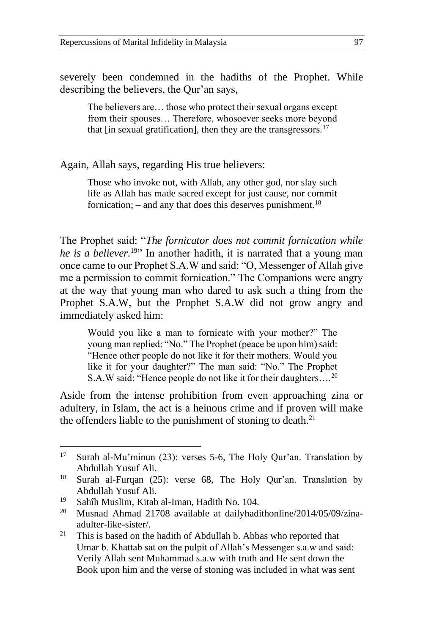severely been condemned in the hadiths of the Prophet. While describing the believers, the Qur'an says*,*

The believers are… those who protect their sexual organs except from their spouses… Therefore, whosoever seeks more beyond that  $\left[$  in sexual gratification $\right]$ , then they are the transgressors.<sup>17</sup>

Again, Allah says, regarding His true believers:

Those who invoke not, with Allah, any other god, nor slay such life as Allah has made sacred except for just cause, nor commit fornication; – and any that does this deserves punishment.<sup>18</sup>

The Prophet said: "*The fornicator does not commit fornication while he is a believer.*<sup>19</sup>" In another hadith, it is narrated that a young man once came to our Prophet S.A.W and said: "O, Messenger of Allah give me a permission to commit fornication." The Companions were angry at the way that young man who dared to ask such a thing from the Prophet S.A.W, but the Prophet S.A.W did not grow angry and immediately asked him:

Would you like a man to fornicate with your mother?" The young man replied: "No." The Prophet (peace be upon him) said: "Hence other people do not like it for their mothers. Would you like it for your daughter?" The man said: "No." The Prophet S.A.W said: "Hence people do not like it for their daughters….<sup>20</sup>

Aside from the intense prohibition from even approaching zina or adultery, in Islam, the act is a heinous crime and if proven will make the offenders liable to the punishment of stoning to death.<sup>21</sup>

<sup>17</sup> Surah al-Mu'minun (23): verses 5-6, The Holy Qur'an. Translation by Abdullah Yusuf Ali.

<sup>18</sup> Surah al-Furqan (25): verse 68, The Holy Qur'an. Translation by Abdullah Yusuf Ali.

<sup>&</sup>lt;sup>19</sup> Sahîh Muslim, Kitab al-Iman, Hadith No. 104.<br><sup>20</sup> Museod, Almad, 21708, susilahla at dailyhadi.

<sup>20</sup> Musnad Ahmad 21708 available at dailyhadithonline/2014/05/09/zinaadulter-like-sister/.

<sup>21</sup> This is based on the hadith of Abdullah b. Abbas who reported that Umar b. Khattab sat on the pulpit of Allah's Messenger s.a.w and said: Verily Allah sent Muhammad s.a.w with truth and He sent down the Book upon him and the verse of stoning was included in what was sent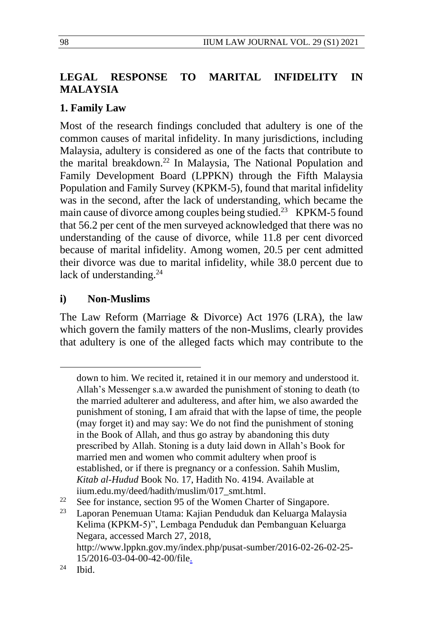## **LEGAL RESPONSE TO MARITAL INFIDELITY IN MALAYSIA**

### **1. Family Law**

Most of the research findings concluded that adultery is one of the common causes of marital infidelity. In many jurisdictions, including Malaysia, adultery is considered as one of the facts that contribute to the marital breakdown.<sup>22</sup> In Malaysia, The National Population and Family Development Board (LPPKN) through the Fifth Malaysia Population and Family Survey (KPKM-5), found that marital infidelity was in the second, after the lack of understanding, which became the main cause of divorce among couples being studied.<sup>23</sup> KPKM-5 found that 56.2 per cent of the men surveyed acknowledged that there was no understanding of the cause of divorce, while 11.8 per cent divorced because of marital infidelity. Among women, 20.5 per cent admitted their divorce was due to marital infidelity, while 38.0 percent due to lack of understanding. $^{24}$ 

### **i) Non-Muslims**

The Law Reform (Marriage & Divorce) Act 1976 (LRA), the law which govern the family matters of the non-Muslims, clearly provides that adultery is one of the alleged facts which may contribute to the

down to him. We recited it, retained it in our memory and understood it. Allah's Messenger s.a.w awarded the punishment of stoning to death (to the married adulterer and adulteress, and after him, we also awarded the punishment of stoning, I am afraid that with the lapse of time, the people (may forget it) and may say: We do not find the punishment of stoning in the Book of Allah, and thus go astray by abandoning this duty prescribed by Allah. Stoning is a duty laid down in Allah's Book for married men and women who commit adultery when proof is established, or if there is pregnancy or a confession. Sahih Muslim, *Kitab al-Hudud* Book No. 17, Hadith No. 4194. Available at iium.edu.my/deed/hadith/muslim/017\_smt.html.

<sup>&</sup>lt;sup>22</sup> See for instance, section 95 of the Women Charter of Singapore.<br><sup>23</sup> Japanese Denomine Utama: Kaiian Penduduk dan Kaluaraa Mala

Laporan Penemuan Utama: Kajian Penduduk dan Keluarga Malaysia Kelima (KPKM-5)", Lembaga Penduduk dan Pembanguan Keluarga Negara, accessed March 27, 2018, http://www.lppkn.gov.my/index.php/pusat-sumber/2016-02-26-02-25-

<sup>15/2016-03-04-00-42-00/</sup>file.

 $24$  Ibid.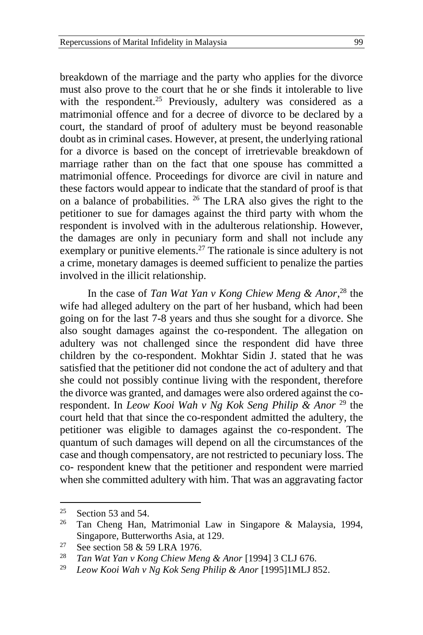breakdown of the marriage and the party who applies for the divorce must also prove to the court that he or she finds it intolerable to live with the respondent.<sup>25</sup> Previously, adultery was considered as a matrimonial offence and for a decree of divorce to be declared by a court, the standard of proof of adultery must be beyond reasonable doubt as in criminal cases. However, at present, the underlying rational for a divorce is based on the concept of irretrievable breakdown of marriage rather than on the fact that one spouse has committed a matrimonial offence. Proceedings for divorce are civil in nature and these factors would appear to indicate that the standard of proof is that on a balance of probabilities. <sup>26</sup> The LRA also gives the right to the petitioner to sue for damages against the third party with whom the respondent is involved with in the adulterous relationship. However, the damages are only in pecuniary form and shall not include any exemplary or punitive elements.<sup>27</sup> The rationale is since adultery is not a crime, monetary damages is deemed sufficient to penalize the parties involved in the illicit relationship.

In the case of *Tan Wat Yan v Kong Chiew Meng & Anor*, <sup>28</sup> the wife had alleged adultery on the part of her husband, which had been going on for the last 7-8 years and thus she sought for a divorce. She also sought damages against the co-respondent. The allegation on adultery was not challenged since the respondent did have three children by the co-respondent. Mokhtar Sidin J. stated that he was satisfied that the petitioner did not condone the act of adultery and that she could not possibly continue living with the respondent, therefore the divorce was granted, and damages were also ordered against the corespondent. In *Leow Kooi Wah v Ng Kok Seng Philip & Anor* <sup>29</sup> the court held that that since the co-respondent admitted the adultery, the petitioner was eligible to damages against the co-respondent. The quantum of such damages will depend on all the circumstances of the case and though compensatory, are not restricted to pecuniary loss. The co- respondent knew that the petitioner and respondent were married when she committed adultery with him. That was an aggravating factor

 $\frac{25}{26}$  Section 53 and 54.

<sup>26</sup> Tan Cheng Han, Matrimonial Law in Singapore & Malaysia, 1994, Singapore, Butterworths Asia, at 129.

<sup>&</sup>lt;sup>27</sup> See section 58 & 59 LRA 1976.<br><sup>28</sup> Tan Wat Yan y Kong Chiav May

<sup>28</sup> *Tan Wat Yan v Kong Chiew Meng & Anor* [1994] 3 CLJ 676.

<sup>29</sup> *Leow Kooi Wah v Ng Kok Seng Philip & Anor* [1995]1MLJ 852.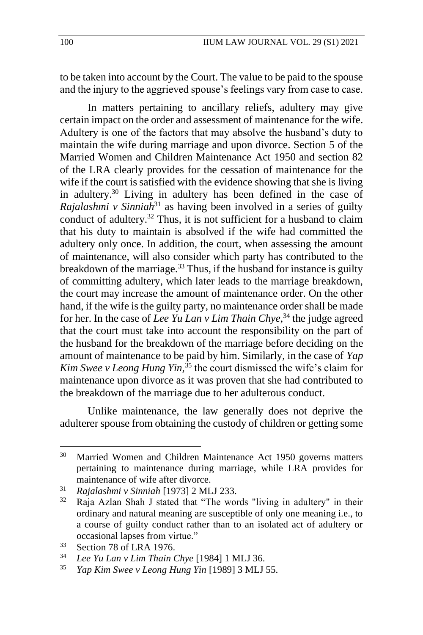to be taken into account by the Court. The value to be paid to the spouse and the injury to the aggrieved spouse's feelings vary from case to case.

In matters pertaining to ancillary reliefs, adultery may give certain impact on the order and assessment of maintenance for the wife. Adultery is one of the factors that may absolve the husband's duty to maintain the wife during marriage and upon divorce. Section 5 of the Married Women and Children Maintenance Act 1950 and section 82 of the LRA clearly provides for the cessation of maintenance for the wife if the court is satisfied with the evidence showing that she is living in adultery.<sup>30</sup> Living in adultery has been defined in the case of *Rajalashmi v Sinniah*<sup>31</sup> as having been involved in a series of guilty conduct of adultery.<sup>32</sup> Thus, it is not sufficient for a husband to claim that his duty to maintain is absolved if the wife had committed the adultery only once. In addition, the court, when assessing the amount of maintenance, will also consider which party has contributed to the breakdown of the marriage.<sup>33</sup> Thus, if the husband for instance is guilty of committing adultery, which later leads to the marriage breakdown, the court may increase the amount of maintenance order. On the other hand, if the wife is the guilty party, no maintenance order shall be made for her. In the case of *Lee Yu Lan v Lim Thain Chye,*<sup>34</sup> the judge agreed that the court must take into account the responsibility on the part of the husband for the breakdown of the marriage before deciding on the amount of maintenance to be paid by him. Similarly, in the case of *Yap Kim Swee v Leong Hung Yin*,<sup>35</sup> the court dismissed the wife's claim for maintenance upon divorce as it was proven that she had contributed to the breakdown of the marriage due to her adulterous conduct.

Unlike maintenance, the law generally does not deprive the adulterer spouse from obtaining the custody of children or getting some

<sup>&</sup>lt;sup>30</sup> Married Women and Children Maintenance Act 1950 governs matters pertaining to maintenance during marriage, while LRA provides for maintenance of wife after divorce.

<sup>31</sup> *Rajalashmi v Sinniah* [1973] 2 MLJ 233.

Raja Azlan Shah J stated that "The words "living in adultery" in their ordinary and natural meaning are susceptible of only one meaning i.e., to a course of guilty conduct rather than to an isolated act of adultery or occasional lapses from virtue."

 $33$  Section 78 of LRA 1976.

<sup>34</sup> *Lee Yu Lan v Lim Thain Chye* [1984] 1 MLJ 36.

<sup>35</sup> *Yap Kim Swee v Leong Hung Yin* [1989] 3 MLJ 55.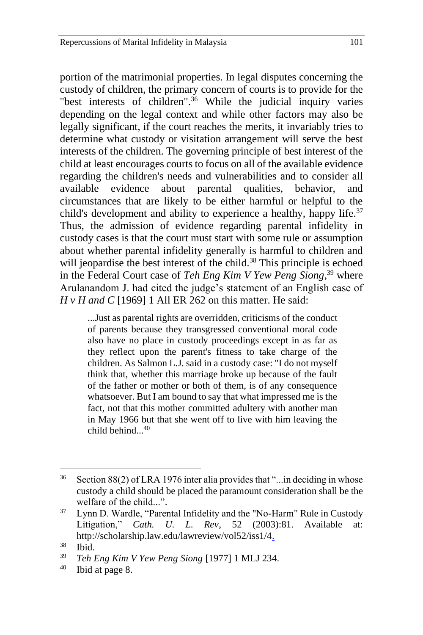portion of the matrimonial properties. In legal disputes concerning the custody of children, the primary concern of courts is to provide for the "best interests of children".<sup>36</sup> While the judicial inquiry varies depending on the legal context and while other factors may also be legally significant, if the court reaches the merits, it invariably tries to determine what custody or visitation arrangement will serve the best interests of the children. The governing principle of best interest of the child at least encourages courts to focus on all of the available evidence regarding the children's needs and vulnerabilities and to consider all available evidence about parental qualities, behavior, and circumstances that are likely to be either harmful or helpful to the child's development and ability to experience a healthy, happy life.<sup>37</sup> Thus, the admission of evidence regarding parental infidelity in custody cases is that the court must start with some rule or assumption about whether parental infidelity generally is harmful to children and will jeopardise the best interest of the child.<sup>38</sup> This principle is echoed in the Federal Court case of *Teh Eng Kim V Yew Peng Siong*, <sup>39</sup> where Arulanandom J. had cited the judge's statement of an English case of *H v H and C* [1969] 1 All ER 262 on this matter. He said:

...Just as parental rights are overridden, criticisms of the conduct of parents because they transgressed conventional moral code also have no place in custody proceedings except in as far as they reflect upon the parent's fitness to take charge of the children. As Salmon L.J. said in a custody case: "I do not myself think that, whether this marriage broke up because of the fault of the father or mother or both of them, is of any consequence whatsoever. But I am bound to say that what impressed me is the fact, not that this mother committed adultery with another man in May 1966 but that she went off to live with him leaving the child behind...<sup>40</sup>

 $36$  Section 88(2) of LRA 1976 inter alia provides that "...in deciding in whose custody a child should be placed the paramount consideration shall be the welfare of the child...".

<sup>&</sup>lt;sup>37</sup> Lynn D. Wardle, "Parental Infidelity and the "No-Harm" Rule in Custody Litigation," *Cath. U. L. Rev*, 52 (2003):81. Available at: http://scholarship.law.edu/lawreview/vol52/iss1/4.

 $rac{38}{39}$  Ibid.

<sup>39</sup> *Teh Eng Kim V Yew Peng Siong* [1977] 1 MLJ 234.

<sup>40</sup> Ibid at page 8.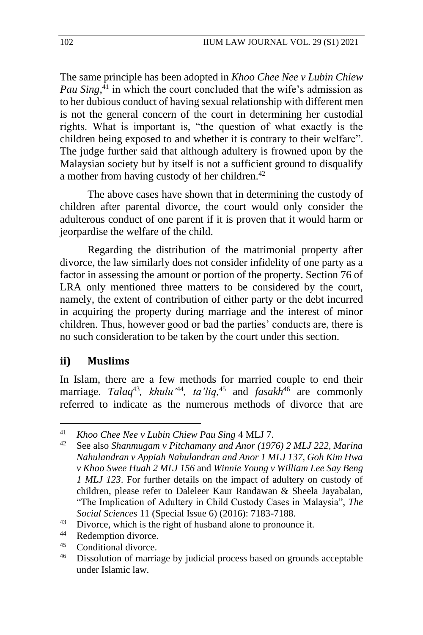The same principle has been adopted in *Khoo Chee Nee v Lubin Chiew Pau Sing*, <sup>41</sup> in which the court concluded that the wife's admission as to her dubious conduct of having sexual relationship with different men is not the general concern of the court in determining her custodial rights. What is important is, "the question of what exactly is the children being exposed to and whether it is contrary to their welfare". The judge further said that although adultery is frowned upon by the Malaysian society but by itself is not a sufficient ground to disqualify a mother from having custody of her children.<sup>42</sup>

The above cases have shown that in determining the custody of children after parental divorce, the court would only consider the adulterous conduct of one parent if it is proven that it would harm or jeorpardise the welfare of the child.

Regarding the distribution of the matrimonial property after divorce, the law similarly does not consider infidelity of one party as a factor in assessing the amount or portion of the property. Section 76 of LRA only mentioned three matters to be considered by the court, namely, the extent of contribution of either party or the debt incurred in acquiring the property during marriage and the interest of minor children. Thus, however good or bad the parties' conducts are, there is no such consideration to be taken by the court under this section.

### **ii) Muslims**

In Islam, there are a few methods for married couple to end their marriage. *Talaq*<sup>43</sup>*, khulu'*<sup>44</sup>*, ta'liq,*<sup>45</sup> and *fasakh*<sup>46</sup> are commonly referred to indicate as the numerous methods of divorce that are

<sup>41</sup> *Khoo Chee Nee v Lubin Chiew Pau Sing* 4 MLJ 7.

<sup>42</sup> See also *Shanmugam v Pitchamany and Anor (1976) 2 MLJ 222, Marina Nahulandran v Appiah Nahulandran and Anor 1 MLJ 137, Goh Kim Hwa v Khoo Swee Huah 2 MLJ 156* and *Winnie Young v William Lee Say Beng 1 MLJ 123*. For further details on the impact of adultery on custody of children, please refer to Daleleer Kaur Randawan & Sheela Jayabalan, "The Implication of Adultery in Child Custody Cases in Malaysia", *The Social Sciences* 11 (Special Issue 6) (2016): 7183-7188.

 $^{43}$  Divorce, which is the right of husband alone to pronounce it.

 $^{44}$  Redemption divorce.

 $^{45}$  Conditional divorce.

Dissolution of marriage by judicial process based on grounds acceptable under Islamic law.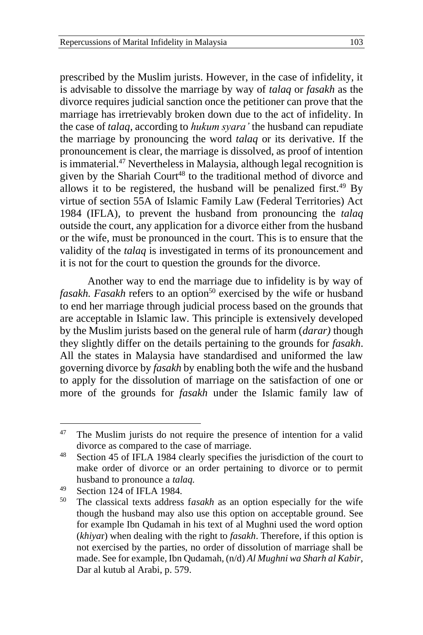prescribed by the Muslim jurists. However, in the case of infidelity, it is advisable to dissolve the marriage by way of *talaq* or *fasakh* as the divorce requires judicial sanction once the petitioner can prove that the marriage has irretrievably broken down due to the act of infidelity. In the case of *talaq*, according to *hukum syara'* the husband can repudiate the marriage by pronouncing the word *talaq* or its derivative. If the pronouncement is clear, the marriage is dissolved, as proof of intention is immaterial.<sup>47</sup> Nevertheless in Malaysia, although legal recognition is given by the Shariah Court<sup>48</sup> to the traditional method of divorce and allows it to be registered, the husband will be penalized first.<sup>49</sup> By virtue of section 55A of Islamic Family Law (Federal Territories) Act 1984 (IFLA), to prevent the husband from pronouncing the *talaq*  outside the court, any application for a divorce either from the husband or the wife, must be pronounced in the court. This is to ensure that the validity of the *talaq* is investigated in terms of its pronouncement and it is not for the court to question the grounds for the divorce.

Another way to end the marriage due to infidelity is by way of *fasakh. Fasakh* refers to an option<sup>50</sup> exercised by the wife or husband to end her marriage through judicial process based on the grounds that are acceptable in Islamic law. This principle is extensively developed by the Muslim jurists based on the general rule of harm (*darar)* though they slightly differ on the details pertaining to the grounds for *fasakh*. All the states in Malaysia have standardised and uniformed the law governing divorce by *fasakh* by enabling both the wife and the husband to apply for the dissolution of marriage on the satisfaction of one or more of the grounds for *fasakh* under the Islamic family law of

 $47$  The Muslim jurists do not require the presence of intention for a valid divorce as compared to the case of marriage.

<sup>&</sup>lt;sup>48</sup> Section 45 of IFLA 1984 clearly specifies the jurisdiction of the court to make order of divorce or an order pertaining to divorce or to permit husband to pronounce a *talaq.*

 $^{49}$  Section 124 of IFLA 1984.

The classical texts address f*asakh* as an option especially for the wife though the husband may also use this option on acceptable ground. See for example Ibn Qudamah in his text of al Mughni used the word option (*khiya*r) when dealing with the right to *fasakh*. Therefore, if this option is not exercised by the parties, no order of dissolution of marriage shall be made. See for example, Ibn Qudamah, (n/d) *Al Mughni wa Sharh al Kabir*, Dar al kutub al Arabi, p. 579.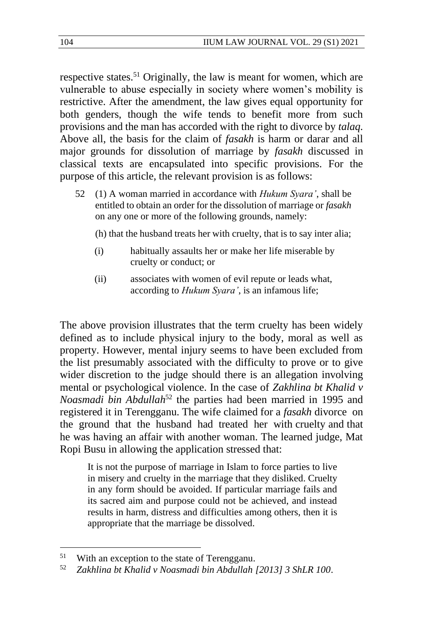respective states.<sup>51</sup> Originally, the law is meant for women, which are vulnerable to abuse especially in society where women's mobility is restrictive. After the amendment, the law gives equal opportunity for both genders, though the wife tends to benefit more from such provisions and the man has accorded with the right to divorce by *talaq.*  Above all, the basis for the claim of *fasakh* is harm or darar and all major grounds for dissolution of marriage by *fasakh* discussed in classical texts are encapsulated into specific provisions. For the purpose of this article, the relevant provision is as follows:

52 (1) A woman married in accordance with *Hukum Syara'*, shall be entitled to obtain an order for the dissolution of marriage or *fasakh*  on any one or more of the following grounds, namely:

(h) that the husband treats her with cruelty, that is to say inter alia;

- (i) habitually assaults her or make her life miserable by cruelty or conduct; or
- (ii) associates with women of evil repute or leads what, according to *Hukum Syara'*, is an infamous life;

The above provision illustrates that the term cruelty has been widely defined as to include physical injury to the body, moral as well as property. However, mental injury seems to have been excluded from the list presumably associated with the difficulty to prove or to give wider discretion to the judge should there is an allegation involving mental or psychological violence. In the case of *Zakhlina bt Khalid v Noasmadi bin Abdullah*<sup>52</sup> the parties had been married in 1995 and registered it in Terengganu. The wife claimed for a *fasakh* divorce on the ground that the husband had treated her with cruelty and that he was having an affair with another woman. The learned judge, Mat Ropi Busu in allowing the application stressed that:

It is not the purpose of marriage in Islam to force parties to live in misery and cruelty in the marriage that they disliked. Cruelty in any form should be avoided. If particular marriage fails and its sacred aim and purpose could not be achieved, and instead results in harm, distress and difficulties among others, then it is appropriate that the marriage be dissolved.

<sup>&</sup>lt;sup>51</sup> With an exception to the state of Terengganu.

<sup>52</sup> *Zakhlina bt Khalid v Noasmadi bin Abdullah [2013] 3 ShLR 100*.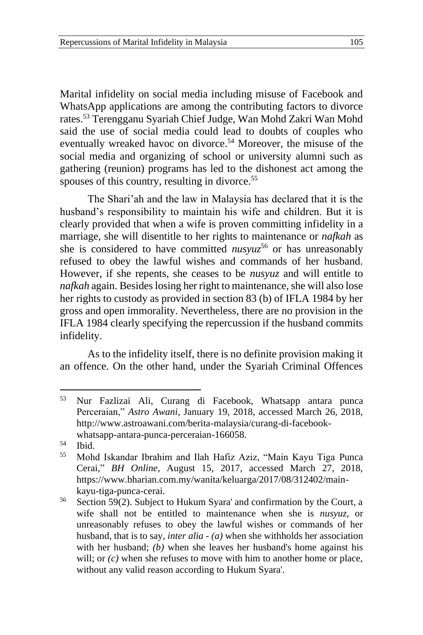Marital infidelity on social media including misuse of Facebook and WhatsApp applications are among the contributing factors to divorce rates.<sup>53</sup> Terengganu Syariah Chief Judge, Wan Mohd Zakri Wan Mohd said the use of social media could lead to doubts of couples who eventually wreaked havoc on divorce.<sup>54</sup> Moreover, the misuse of the social media and organizing of school or university alumni such as gathering (reunion) programs has led to the dishonest act among the spouses of this country, resulting in divorce.<sup>55</sup>

The Shari'ah and the law in Malaysia has declared that it is the husband's responsibility to maintain his wife and children. But it is clearly provided that when a wife is proven committing infidelity in a marriage, she will disentitle to her rights to maintenance or *nafkah* as she is considered to have committed *nusyuz*<sup>56</sup> or has unreasonably refused to obey the lawful wishes and commands of her husband. However, if she repents, she ceases to be *nusyuz* and will entitle to *nafkah* again. Besides losing her right to maintenance, she will also lose her rights to custody as provided in section 83 (b) of IFLA 1984 by her gross and open immorality. Nevertheless, there are no provision in the IFLA 1984 clearly specifying the repercussion if the husband commits infidelity.

As to the infidelity itself, there is no definite provision making it an offence. On the other hand, under the Syariah Criminal Offences

<sup>53</sup> Nur Fazlizai Ali, Curang di Facebook, Whatsapp antara punca Perceraian," *Astro Awani*, January 19, 2018, accessed March 26, 2018, http://www.astroawani.com/berita-malaysia/curang-di-facebookwhatsapp-antara-punca-perceraian-166058.

 $\frac{54}{55}$  Ibid.

<sup>55</sup> Mohd Iskandar Ibrahim and Ilah Hafiz Aziz, "Main Kayu Tiga Punca Cerai*,*" *BH Online*, August 15, 2017, accessed March 27, 2018, https://www.bharian.com.my/wanita/keluarga/2017/08/312402/mainkayu-tiga-punca-cerai.

<sup>56</sup> Section 59(2). Subject to Hukum Syara' and confirmation by the Court, a wife shall not be entitled to maintenance when she is *nusyuz*, or unreasonably refuses to obey the lawful wishes or commands of her husband, that is to say, *inter alia* - *(a)* when she withholds her association with her husband; *(b)* when she leaves her husband's home against his will; or *(c)* when she refuses to move with him to another home or place, without any valid reason according to Hukum Syara'.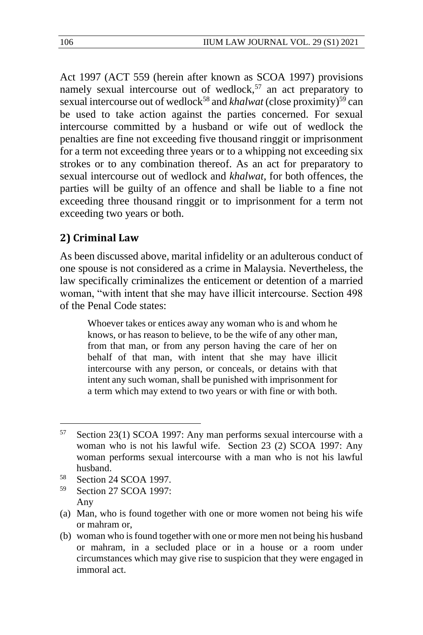Act 1997 (ACT 559 (herein after known as SCOA 1997) provisions namely sexual intercourse out of wedlock,<sup>57</sup> an act preparatory to sexual intercourse out of wedlock<sup>58</sup> and *khalwat* (close proximity)<sup>59</sup> can be used to take action against the parties concerned. For sexual intercourse committed by a husband or wife out of wedlock the penalties are fine not exceeding five thousand ringgit or imprisonment for a term not exceeding three years or to a whipping not exceeding six strokes or to any combination thereof. As an act for preparatory to sexual intercourse out of wedlock and *khalwat*, for both offences, the parties will be guilty of an offence and shall be liable to a fine not exceeding three thousand ringgit or to imprisonment for a term not exceeding two years or both.

## **2) Criminal Law**

As been discussed above, marital infidelity or an adulterous conduct of one spouse is not considered as a crime in Malaysia. Nevertheless, the law specifically criminalizes the enticement or detention of a married woman, "with intent that she may have illicit intercourse. Section 498 of the Penal Code states:

Whoever takes or entices away any woman who is and whom he knows, or has reason to believe, to be the wife of any other man, from that man, or from any person having the care of her on behalf of that man, with intent that she may have illicit intercourse with any person, or conceals, or detains with that intent any such woman, shall be punished with imprisonment for a term which may extend to two years or with fine or with both.

Section 27 SCOA 1997: Any

<sup>57</sup> Section 23(1) SCOA 1997: Any man performs sexual intercourse with a woman who is not his lawful wife. Section 23 (2) SCOA 1997: Any woman performs sexual intercourse with a man who is not his lawful husband.

<sup>&</sup>lt;sup>58</sup> Section 24 SCOA 1997.

<sup>(</sup>a) Man, who is found together with one or more women not being his wife or mahram or,

<sup>(</sup>b) woman who is found together with one or more men not being his husband or mahram, in a secluded place or in a house or a room under circumstances which may give rise to suspicion that they were engaged in immoral act.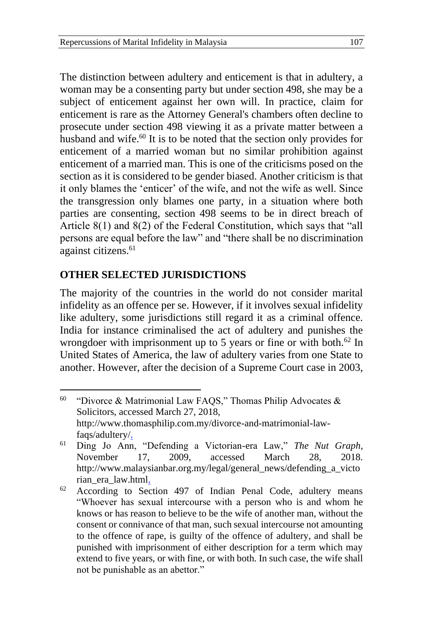The distinction between adultery and enticement is that in adultery, a woman may be a consenting party but under section 498, she may be a subject of enticement against her own will. In practice, claim for enticement is rare as the Attorney General's chambers often decline to prosecute under section 498 viewing it as a private matter between a husband and wife.<sup>60</sup> It is to be noted that the section only provides for enticement of a married woman but no similar prohibition against enticement of a married man. This is one of the criticisms posed on the section as it is considered to be gender biased. Another criticism is that it only blames the 'enticer' of the wife, and not the wife as well. Since the transgression only blames one party, in a situation where both parties are consenting, section 498 seems to be in direct breach of Article 8(1) and 8(2) of the Federal Constitution, which says that "all persons are equal before the law" and "there shall be no discrimination against citizens.<sup>61</sup>

## **OTHER SELECTED JURISDICTIONS**

The majority of the countries in the world do not consider marital infidelity as an offence per se. However, if it involves sexual infidelity like adultery, some jurisdictions still regard it as a criminal offence. India for instance criminalised the act of adultery and punishes the wrongdoer with imprisonment up to 5 years or fine or with both.<sup>62</sup> In United States of America, the law of adultery varies from one State to another. However, after the decision of a Supreme Court case in 2003,

<sup>&</sup>lt;sup>60</sup> "Divorce & Matrimonial Law FAQS," Thomas Philip Advocates & Solicitors, accessed March 27, 2018, http://www.thomasphilip.com.my/divorce-and-matrimonial-lawfaqs/adultery/.

<sup>61</sup> Ding Jo Ann, "Defending a Victorian-era Law," *The Nut Graph*, November 17, 2009, accessed March 28, 2018. http://www.malaysianbar.org.my/legal/general\_news/defending\_a\_victo rian\_era\_law.html.

 $62$  According to Section 497 of Indian Penal Code, adultery means "Whoever has sexual intercourse with a person who is and whom he knows or has reason to believe to be the wife of another man, without the consent or connivance of that man, such sexual intercourse not amounting to the offence of rape, is guilty of the offence of adultery, and shall be punished with imprisonment of either description for a term which may extend to five years, or with fine, or with both. In such case, the wife shall not be punishable as an abettor."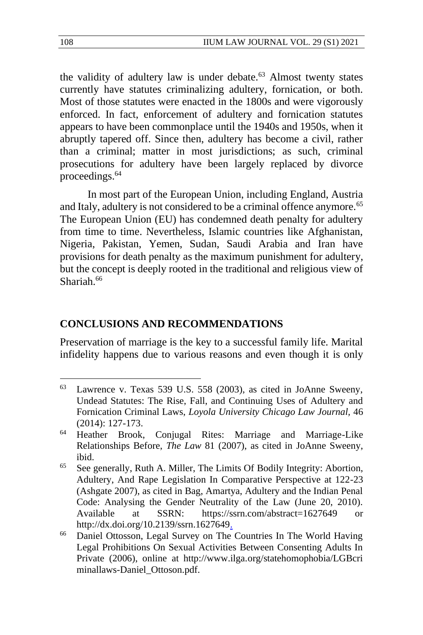the validity of adultery law is under debate.<sup>63</sup> Almost twenty states currently have statutes criminalizing adultery, fornication, or both. Most of those statutes were enacted in the 1800s and were vigorously enforced. In fact, enforcement of adultery and fornication statutes appears to have been commonplace until the 1940s and 1950s, when it abruptly tapered off. Since then, adultery has become a civil, rather than a criminal; matter in most jurisdictions; as such, criminal prosecutions for adultery have been largely replaced by divorce proceedings. $64$ 

In most part of the European Union, including England, Austria and Italy, adultery is not considered to be a criminal offence anymore.<sup>65</sup> The European Union (EU) has condemned death penalty for adultery from time to time. Nevertheless, Islamic countries like Afghanistan, Nigeria, Pakistan, Yemen, Sudan, Saudi Arabia and Iran have provisions for death penalty as the maximum punishment for adultery, but the concept is deeply rooted in the traditional and religious view of Shariah<sup>66</sup>

#### **CONCLUSIONS AND RECOMMENDATIONS**

Preservation of marriage is the key to a successful family life. Marital infidelity happens due to various reasons and even though it is only

<sup>63</sup> Lawrence v. Texas 539 U.S. 558 (2003), as cited in JoAnne Sweeny, Undead Statutes: The Rise, Fall, and Continuing Uses of Adultery and Fornication Criminal Laws, *Loyola University Chicago Law Journal,* 46 (2014): 127-173.

<sup>64</sup> Heather Brook, Conjugal Rites: Marriage and Marriage-Like Relationships Before, *The Law* 81 (2007), as cited in JoAnne Sweeny, ibid.

<sup>65</sup> See generally, Ruth A. Miller, The Limits Of Bodily Integrity: Abortion, Adultery, And Rape Legislation In Comparative Perspective at 122-23 (Ashgate 2007), as cited in Bag, Amartya, Adultery and the Indian Penal Code: Analysing the Gender Neutrality of the Law (June 20, 2010). Available at SSRN: https://ssrn.com/abstract=1627649 or http://dx.doi.org/10.2139/ssrn.1627649.

<sup>66</sup> Daniel Ottosson, Legal Survey on The Countries In The World Having Legal Prohibitions On Sexual Activities Between Consenting Adults In Private (2006), online at http://www.ilga.org/statehomophobia/LGBcri minallaws-Daniel\_Ottoson.pdf.